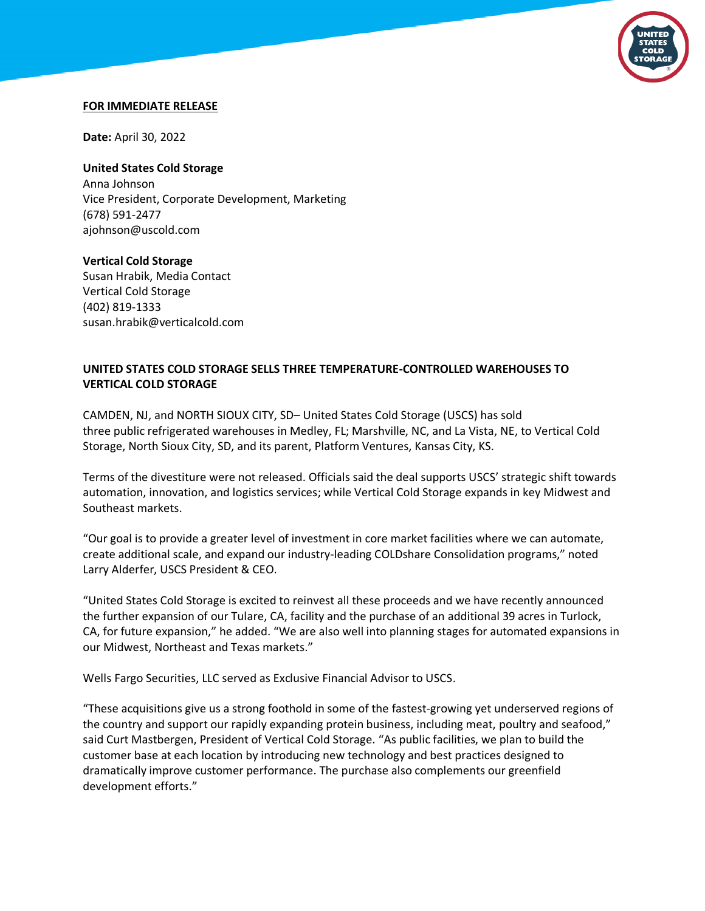

#### **FOR IMMEDIATE RELEASE**

**Date:** April 30, 2022

**United States Cold Storage** Anna Johnson Vice President, Corporate Development, Marketing (678) 591-2477 ajohnson@uscold.com

**Vertical Cold Storage** Susan Hrabik, Media Contact Vertical Cold Storage (402) 819-1333 susan.hrabik@verticalcold.com

# **UNITED STATES COLD STORAGE SELLS THREE TEMPERATURE-CONTROLLED WAREHOUSES TO VERTICAL COLD STORAGE**

CAMDEN, NJ, and NORTH SIOUX CITY, SD– United States Cold Storage (USCS) has sold three public refrigerated warehouses in Medley, FL; Marshville, NC, and La Vista, NE, to Vertical Cold Storage, North Sioux City, SD, and its parent, Platform Ventures, Kansas City, KS.

Terms of the divestiture were not released. Officials said the deal supports USCS' strategic shift towards automation, innovation, and logistics services; while Vertical Cold Storage expands in key Midwest and Southeast markets.

"Our goal is to provide a greater level of investment in core market facilities where we can automate, create additional scale, and expand our industry-leading COLDshare Consolidation programs," noted Larry Alderfer, USCS President & CEO.

"United States Cold Storage is excited to reinvest all these proceeds and we have recently announced the further expansion of our Tulare, CA, facility and the purchase of an additional 39 acres in Turlock, CA, for future expansion," he added. "We are also well into planning stages for automated expansions in our Midwest, Northeast and Texas markets."

Wells Fargo Securities, LLC served as Exclusive Financial Advisor to USCS.

"These acquisitions give us a strong foothold in some of the fastest-growing yet underserved regions of the country and support our rapidly expanding protein business, including meat, poultry and seafood," said Curt Mastbergen, President of Vertical Cold Storage. "As public facilities, we plan to build the customer base at each location by introducing new technology and best practices designed to dramatically improve customer performance. The purchase also complements our greenfield development efforts."